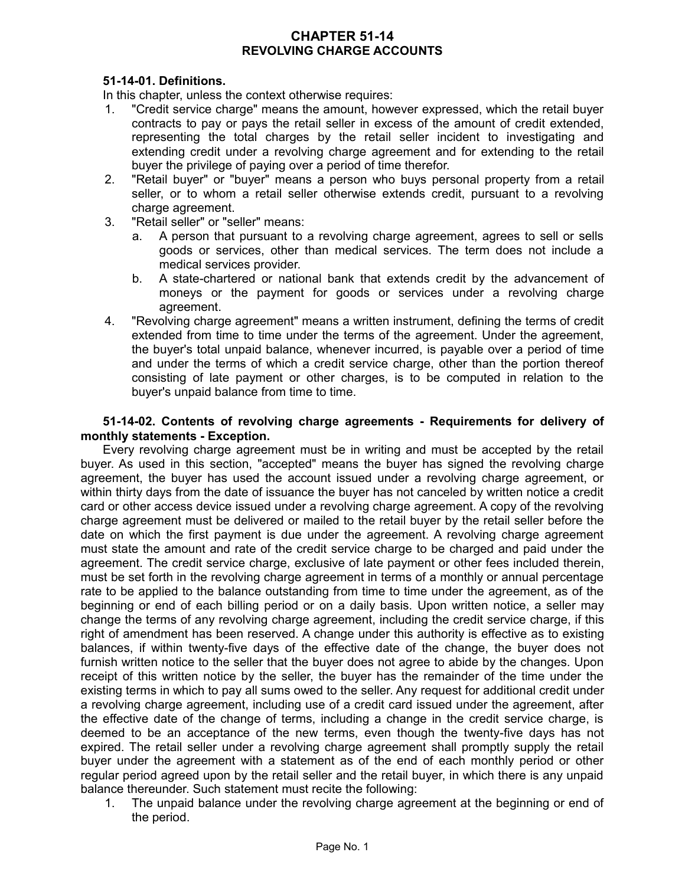# **CHAPTER 51-14 REVOLVING CHARGE ACCOUNTS**

### **51-14-01. Definitions.**

In this chapter, unless the context otherwise requires:

- 1. "Credit service charge" means the amount, however expressed, which the retail buyer contracts to pay or pays the retail seller in excess of the amount of credit extended, representing the total charges by the retail seller incident to investigating and extending credit under a revolving charge agreement and for extending to the retail buyer the privilege of paying over a period of time therefor.
- 2. "Retail buyer" or "buyer" means a person who buys personal property from a retail seller, or to whom a retail seller otherwise extends credit, pursuant to a revolving charge agreement.
- 3. "Retail seller" or "seller" means:
	- a. A person that pursuant to a revolving charge agreement, agrees to sell or sells goods or services, other than medical services. The term does not include a medical services provider.
	- b. A state-chartered or national bank that extends credit by the advancement of moneys or the payment for goods or services under a revolving charge agreement.
- 4. "Revolving charge agreement" means a written instrument, defining the terms of credit extended from time to time under the terms of the agreement. Under the agreement, the buyer's total unpaid balance, whenever incurred, is payable over a period of time and under the terms of which a credit service charge, other than the portion thereof consisting of late payment or other charges, is to be computed in relation to the buyer's unpaid balance from time to time.

### **51-14-02. Contents of revolving charge agreements - Requirements for delivery of monthly statements - Exception.**

Every revolving charge agreement must be in writing and must be accepted by the retail buyer. As used in this section, "accepted" means the buyer has signed the revolving charge agreement, the buyer has used the account issued under a revolving charge agreement, or within thirty days from the date of issuance the buyer has not canceled by written notice a credit card or other access device issued under a revolving charge agreement. A copy of the revolving charge agreement must be delivered or mailed to the retail buyer by the retail seller before the date on which the first payment is due under the agreement. A revolving charge agreement must state the amount and rate of the credit service charge to be charged and paid under the agreement. The credit service charge, exclusive of late payment or other fees included therein, must be set forth in the revolving charge agreement in terms of a monthly or annual percentage rate to be applied to the balance outstanding from time to time under the agreement, as of the beginning or end of each billing period or on a daily basis. Upon written notice, a seller may change the terms of any revolving charge agreement, including the credit service charge, if this right of amendment has been reserved. A change under this authority is effective as to existing balances, if within twenty-five days of the effective date of the change, the buyer does not furnish written notice to the seller that the buyer does not agree to abide by the changes. Upon receipt of this written notice by the seller, the buyer has the remainder of the time under the existing terms in which to pay all sums owed to the seller. Any request for additional credit under a revolving charge agreement, including use of a credit card issued under the agreement, after the effective date of the change of terms, including a change in the credit service charge, is deemed to be an acceptance of the new terms, even though the twenty-five days has not expired. The retail seller under a revolving charge agreement shall promptly supply the retail buyer under the agreement with a statement as of the end of each monthly period or other regular period agreed upon by the retail seller and the retail buyer, in which there is any unpaid balance thereunder. Such statement must recite the following:

1. The unpaid balance under the revolving charge agreement at the beginning or end of the period.